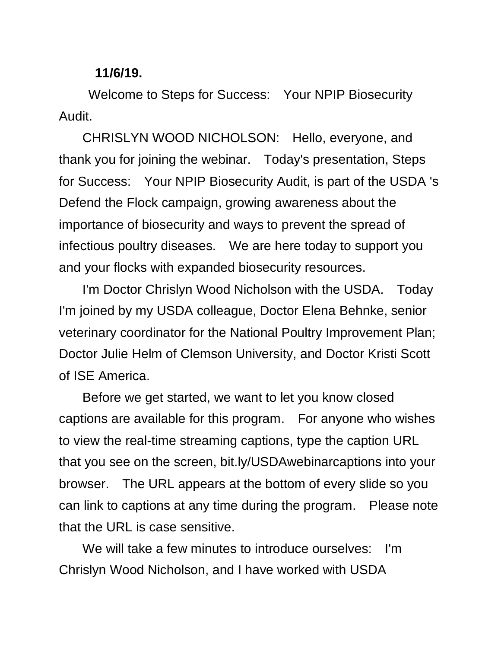## **11/6/19.**

Welcome to Steps for Success: Your NPIP Biosecurity Audit.

CHRISLYN WOOD NICHOLSON: Hello, everyone, and thank you for joining the webinar. Today's presentation, Steps for Success: Your NPIP Biosecurity Audit, is part of the USDA 's Defend the Flock campaign, growing awareness about the importance of biosecurity and ways to prevent the spread of infectious poultry diseases. We are here today to support you and your flocks with expanded biosecurity resources.

I'm Doctor Chrislyn Wood Nicholson with the USDA. Today I'm joined by my USDA colleague, Doctor Elena Behnke, senior veterinary coordinator for the National Poultry Improvement Plan; Doctor Julie Helm of Clemson University, and Doctor Kristi Scott of ISE America.

Before we get started, we want to let you know closed captions are available for this program. For anyone who wishes to view the real-time streaming captions, type the caption URL that you see on the screen, bit.ly/USDAwebinarcaptions into your browser. The URL appears at the bottom of every slide so you can link to captions at any time during the program. Please note that the URL is case sensitive.

We will take a few minutes to introduce ourselves: I'm Chrislyn Wood Nicholson, and I have worked with USDA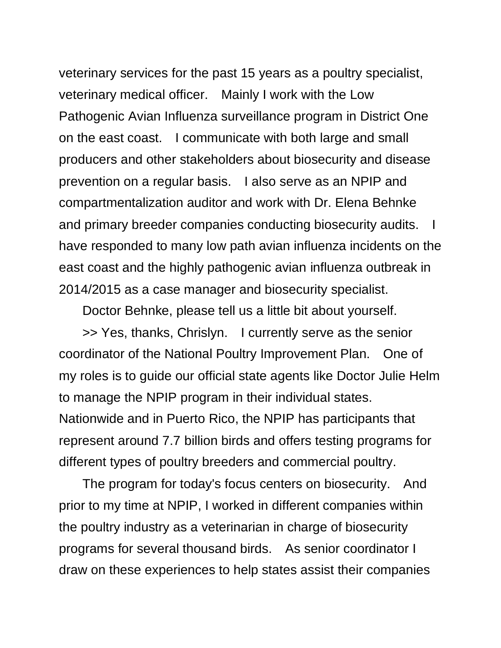veterinary services for the past 15 years as a poultry specialist, veterinary medical officer. Mainly I work with the Low Pathogenic Avian Influenza surveillance program in District One on the east coast. I communicate with both large and small producers and other stakeholders about biosecurity and disease prevention on a regular basis. I also serve as an NPIP and compartmentalization auditor and work with Dr. Elena Behnke and primary breeder companies conducting biosecurity audits. have responded to many low path avian influenza incidents on the east coast and the highly pathogenic avian influenza outbreak in 2014/2015 as a case manager and biosecurity specialist.

Doctor Behnke, please tell us a little bit about yourself.

>> Yes, thanks, Chrislyn. I currently serve as the senior coordinator of the National Poultry Improvement Plan. One of my roles is to guide our official state agents like Doctor Julie Helm to manage the NPIP program in their individual states. Nationwide and in Puerto Rico, the NPIP has participants that represent around 7.7 billion birds and offers testing programs for different types of poultry breeders and commercial poultry.

The program for today's focus centers on biosecurity. And prior to my time at NPIP, I worked in different companies within the poultry industry as a veterinarian in charge of biosecurity programs for several thousand birds. As senior coordinator I draw on these experiences to help states assist their companies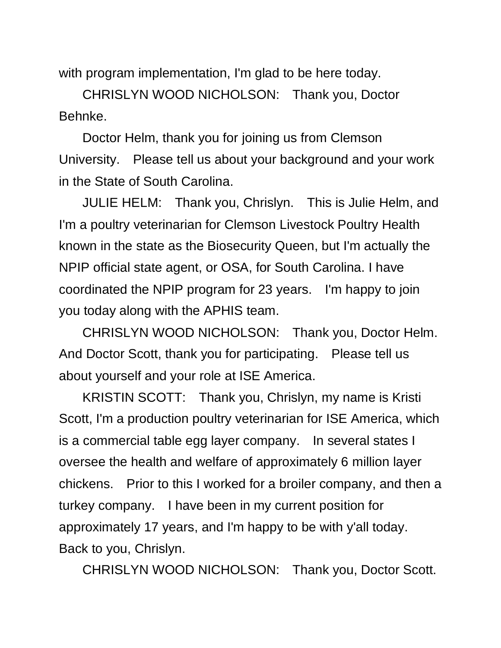with program implementation, I'm glad to be here today.

CHRISLYN WOOD NICHOLSON: Thank you, Doctor Behnke.

Doctor Helm, thank you for joining us from Clemson University. Please tell us about your background and your work in the State of South Carolina.

JULIE HELM: Thank you, Chrislyn. This is Julie Helm, and I'm a poultry veterinarian for Clemson Livestock Poultry Health known in the state as the Biosecurity Queen, but I'm actually the NPIP official state agent, or OSA, for South Carolina. I have coordinated the NPIP program for 23 years. I'm happy to join you today along with the APHIS team.

CHRISLYN WOOD NICHOLSON: Thank you, Doctor Helm. And Doctor Scott, thank you for participating. Please tell us about yourself and your role at ISE America.

KRISTIN SCOTT: Thank you, Chrislyn, my name is Kristi Scott, I'm a production poultry veterinarian for ISE America, which is a commercial table egg layer company. In several states I oversee the health and welfare of approximately 6 million layer chickens. Prior to this I worked for a broiler company, and then a turkey company. I have been in my current position for approximately 17 years, and I'm happy to be with y'all today. Back to you, Chrislyn.

CHRISLYN WOOD NICHOLSON: Thank you, Doctor Scott.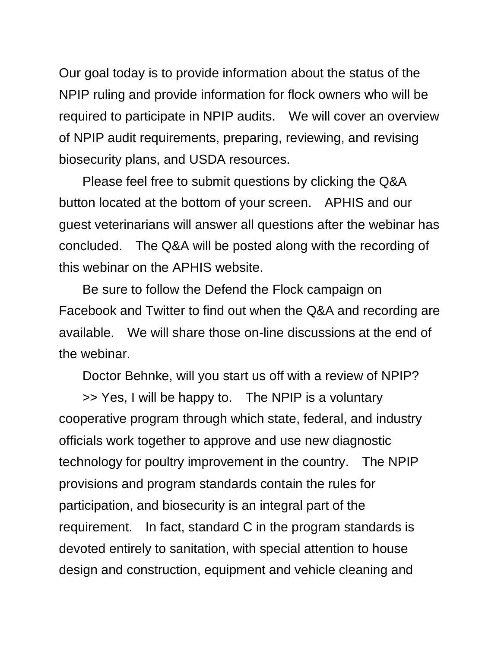Our goal today is to provide information about the status of the NPIP ruling and provide information for flock owners who will be required to participate in NPIP audits. We will cover an overview of NPIP audit requirements, preparing, reviewing, and revising biosecurity plans, and USDA resources.

Please feel free to submit questions by clicking the Q&A button located at the bottom of your screen. APHIS and our guest veterinarians will answer all questions after the webinar has concluded. The Q&A will be posted along with the recording of this webinar on the APHIS website.

Be sure to follow the Defend the Flock campaign on Facebook and Twitter to find out when the Q&A and recording are available. We will share those on-line discussions at the end of the webinar.

Doctor Behnke, will you start us off with a review of NPIP?

>> Yes, I will be happy to. The NPIP is a voluntary cooperative program through which state, federal, and industry officials work together to approve and use new diagnostic technology for poultry improvement in the country. The NPIP provisions and program standards contain the rules for participation, and biosecurity is an integral part of the requirement. In fact, standard C in the program standards is devoted entirely to sanitation, with special attention to house design and construction, equipment and vehicle cleaning and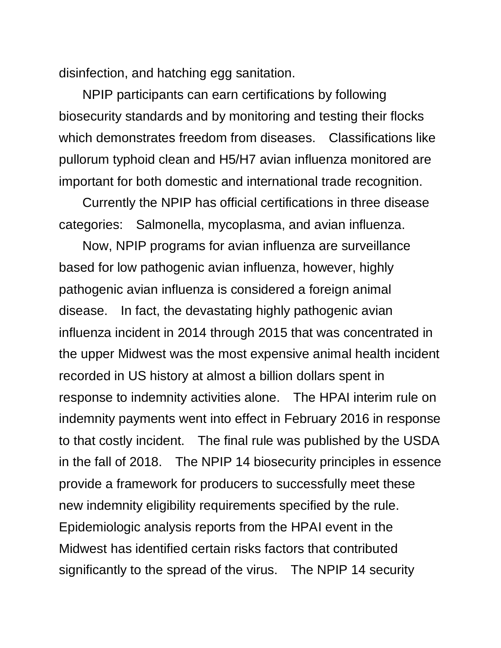disinfection, and hatching egg sanitation.

NPIP participants can earn certifications by following biosecurity standards and by monitoring and testing their flocks which demonstrates freedom from diseases. Classifications like pullorum typhoid clean and H5/H7 avian influenza monitored are important for both domestic and international trade recognition.

Currently the NPIP has official certifications in three disease categories: Salmonella, mycoplasma, and avian influenza.

Now, NPIP programs for avian influenza are surveillance based for low pathogenic avian influenza, however, highly pathogenic avian influenza is considered a foreign animal disease. In fact, the devastating highly pathogenic avian influenza incident in 2014 through 2015 that was concentrated in the upper Midwest was the most expensive animal health incident recorded in US history at almost a billion dollars spent in response to indemnity activities alone. The HPAI interim rule on indemnity payments went into effect in February 2016 in response to that costly incident. The final rule was published by the USDA in the fall of 2018. The NPIP 14 biosecurity principles in essence provide a framework for producers to successfully meet these new indemnity eligibility requirements specified by the rule. Epidemiologic analysis reports from the HPAI event in the Midwest has identified certain risks factors that contributed significantly to the spread of the virus. The NPIP 14 security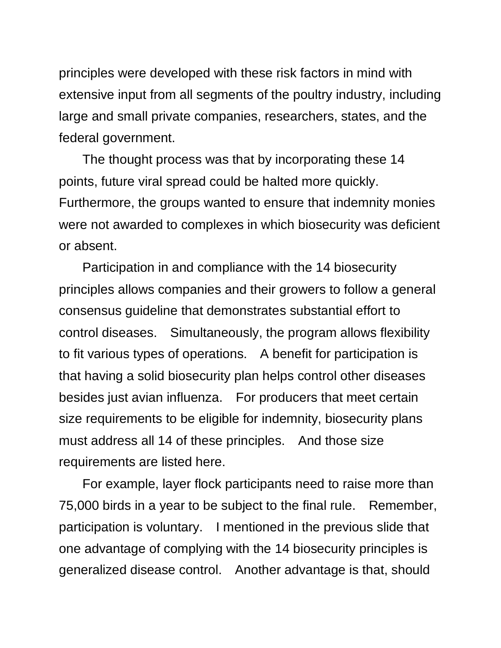principles were developed with these risk factors in mind with extensive input from all segments of the poultry industry, including large and small private companies, researchers, states, and the federal government.

The thought process was that by incorporating these 14 points, future viral spread could be halted more quickly. Furthermore, the groups wanted to ensure that indemnity monies were not awarded to complexes in which biosecurity was deficient or absent.

Participation in and compliance with the 14 biosecurity principles allows companies and their growers to follow a general consensus guideline that demonstrates substantial effort to control diseases. Simultaneously, the program allows flexibility to fit various types of operations. A benefit for participation is that having a solid biosecurity plan helps control other diseases besides just avian influenza. For producers that meet certain size requirements to be eligible for indemnity, biosecurity plans must address all 14 of these principles. And those size requirements are listed here.

For example, layer flock participants need to raise more than 75,000 birds in a year to be subject to the final rule. Remember, participation is voluntary. I mentioned in the previous slide that one advantage of complying with the 14 biosecurity principles is generalized disease control. Another advantage is that, should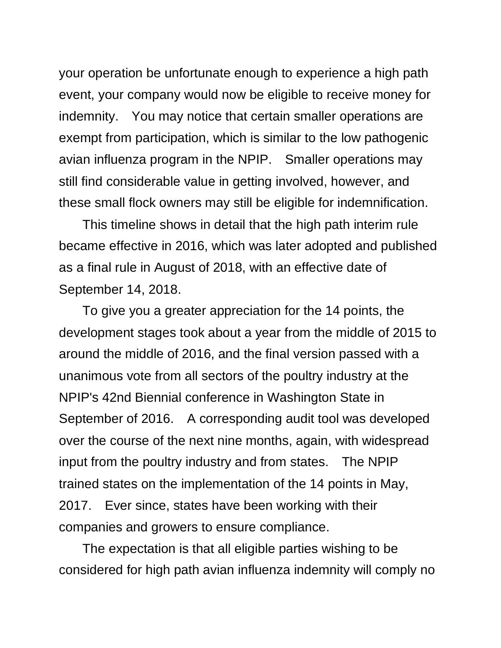your operation be unfortunate enough to experience a high path event, your company would now be eligible to receive money for indemnity. You may notice that certain smaller operations are exempt from participation, which is similar to the low pathogenic avian influenza program in the NPIP. Smaller operations may still find considerable value in getting involved, however, and these small flock owners may still be eligible for indemnification.

This timeline shows in detail that the high path interim rule became effective in 2016, which was later adopted and published as a final rule in August of 2018, with an effective date of September 14, 2018.

To give you a greater appreciation for the 14 points, the development stages took about a year from the middle of 2015 to around the middle of 2016, and the final version passed with a unanimous vote from all sectors of the poultry industry at the NPIP's 42nd Biennial conference in Washington State in September of 2016. A corresponding audit tool was developed over the course of the next nine months, again, with widespread input from the poultry industry and from states. The NPIP trained states on the implementation of the 14 points in May, 2017. Ever since, states have been working with their companies and growers to ensure compliance.

The expectation is that all eligible parties wishing to be considered for high path avian influenza indemnity will comply no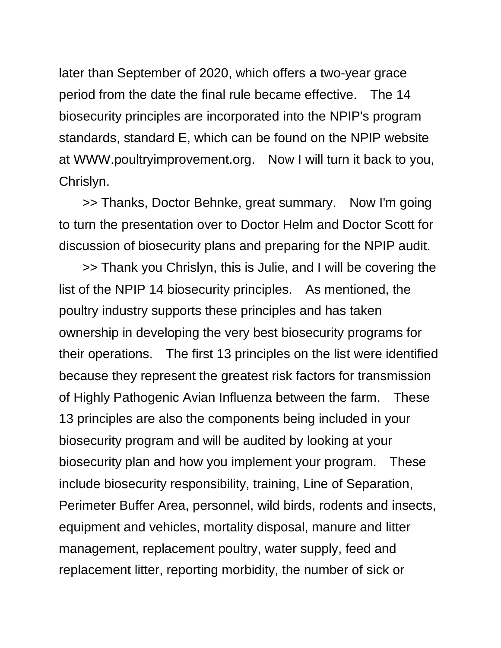later than September of 2020, which offers a two-year grace period from the date the final rule became effective. The 14 biosecurity principles are incorporated into the NPIP's program standards, standard E, which can be found on the NPIP website at WWW.poultryimprovement.org. Now I will turn it back to you, Chrislyn.

>> Thanks, Doctor Behnke, great summary. Now I'm going to turn the presentation over to Doctor Helm and Doctor Scott for discussion of biosecurity plans and preparing for the NPIP audit.

>> Thank you Chrislyn, this is Julie, and I will be covering the list of the NPIP 14 biosecurity principles. As mentioned, the poultry industry supports these principles and has taken ownership in developing the very best biosecurity programs for their operations. The first 13 principles on the list were identified because they represent the greatest risk factors for transmission of Highly Pathogenic Avian Influenza between the farm. These 13 principles are also the components being included in your biosecurity program and will be audited by looking at your biosecurity plan and how you implement your program. These include biosecurity responsibility, training, Line of Separation, Perimeter Buffer Area, personnel, wild birds, rodents and insects, equipment and vehicles, mortality disposal, manure and litter management, replacement poultry, water supply, feed and replacement litter, reporting morbidity, the number of sick or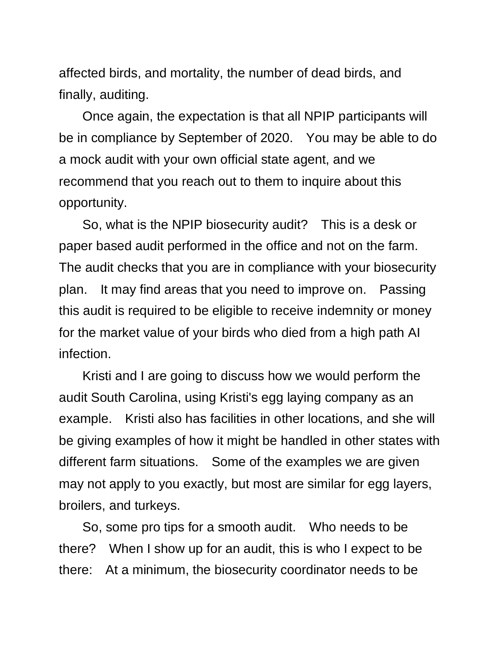affected birds, and mortality, the number of dead birds, and finally, auditing.

Once again, the expectation is that all NPIP participants will be in compliance by September of 2020. You may be able to do a mock audit with your own official state agent, and we recommend that you reach out to them to inquire about this opportunity.

So, what is the NPIP biosecurity audit? This is a desk or paper based audit performed in the office and not on the farm. The audit checks that you are in compliance with your biosecurity plan. It may find areas that you need to improve on. Passing this audit is required to be eligible to receive indemnity or money for the market value of your birds who died from a high path AI infection.

Kristi and I are going to discuss how we would perform the audit South Carolina, using Kristi's egg laying company as an example. Kristi also has facilities in other locations, and she will be giving examples of how it might be handled in other states with different farm situations. Some of the examples we are given may not apply to you exactly, but most are similar for egg layers, broilers, and turkeys.

So, some pro tips for a smooth audit. Who needs to be there? When I show up for an audit, this is who I expect to be there: At a minimum, the biosecurity coordinator needs to be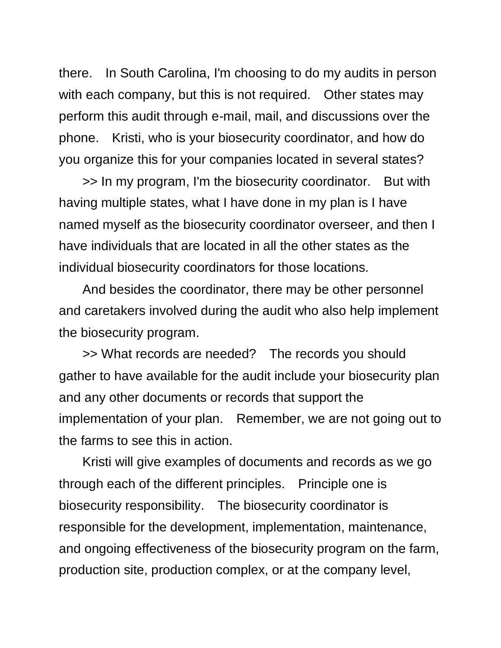there. In South Carolina, I'm choosing to do my audits in person with each company, but this is not required. Other states may perform this audit through e-mail, mail, and discussions over the phone. Kristi, who is your biosecurity coordinator, and how do you organize this for your companies located in several states?

>> In my program, I'm the biosecurity coordinator. But with having multiple states, what I have done in my plan is I have named myself as the biosecurity coordinator overseer, and then I have individuals that are located in all the other states as the individual biosecurity coordinators for those locations.

And besides the coordinator, there may be other personnel and caretakers involved during the audit who also help implement the biosecurity program.

>> What records are needed? The records you should gather to have available for the audit include your biosecurity plan and any other documents or records that support the implementation of your plan. Remember, we are not going out to the farms to see this in action.

Kristi will give examples of documents and records as we go through each of the different principles. Principle one is biosecurity responsibility. The biosecurity coordinator is responsible for the development, implementation, maintenance, and ongoing effectiveness of the biosecurity program on the farm, production site, production complex, or at the company level,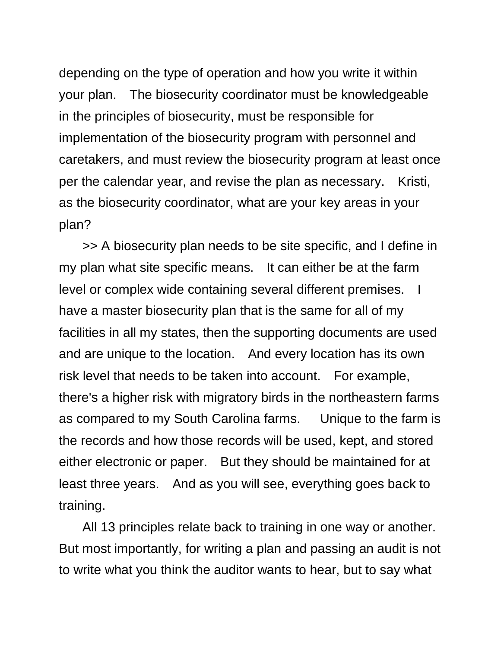depending on the type of operation and how you write it within your plan. The biosecurity coordinator must be knowledgeable in the principles of biosecurity, must be responsible for implementation of the biosecurity program with personnel and caretakers, and must review the biosecurity program at least once per the calendar year, and revise the plan as necessary. Kristi, as the biosecurity coordinator, what are your key areas in your plan?

>> A biosecurity plan needs to be site specific, and I define in my plan what site specific means. It can either be at the farm level or complex wide containing several different premises. I have a master biosecurity plan that is the same for all of my facilities in all my states, then the supporting documents are used and are unique to the location. And every location has its own risk level that needs to be taken into account. For example, there's a higher risk with migratory birds in the northeastern farms as compared to my South Carolina farms. Unique to the farm is the records and how those records will be used, kept, and stored either electronic or paper. But they should be maintained for at least three years. And as you will see, everything goes back to training.

All 13 principles relate back to training in one way or another. But most importantly, for writing a plan and passing an audit is not to write what you think the auditor wants to hear, but to say what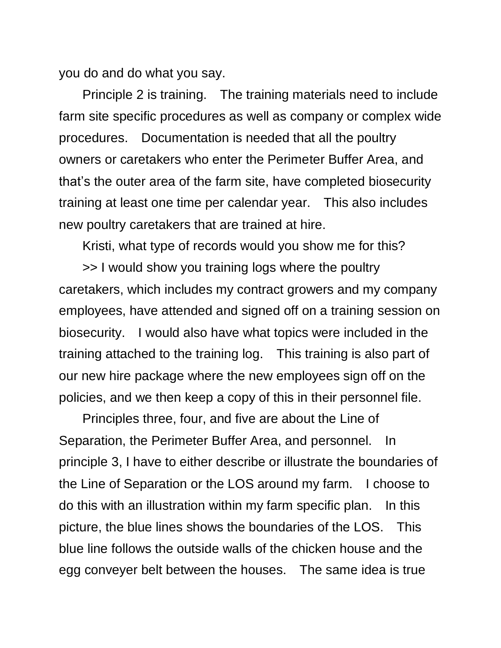you do and do what you say.

Principle 2 is training. The training materials need to include farm site specific procedures as well as company or complex wide procedures. Documentation is needed that all the poultry owners or caretakers who enter the Perimeter Buffer Area, and that's the outer area of the farm site, have completed biosecurity training at least one time per calendar year. This also includes new poultry caretakers that are trained at hire.

Kristi, what type of records would you show me for this?

>> I would show you training logs where the poultry caretakers, which includes my contract growers and my company employees, have attended and signed off on a training session on biosecurity. I would also have what topics were included in the training attached to the training log. This training is also part of our new hire package where the new employees sign off on the policies, and we then keep a copy of this in their personnel file.

Principles three, four, and five are about the Line of Separation, the Perimeter Buffer Area, and personnel. In principle 3, I have to either describe or illustrate the boundaries of the Line of Separation or the LOS around my farm. I choose to do this with an illustration within my farm specific plan. In this picture, the blue lines shows the boundaries of the LOS. This blue line follows the outside walls of the chicken house and the egg conveyer belt between the houses. The same idea is true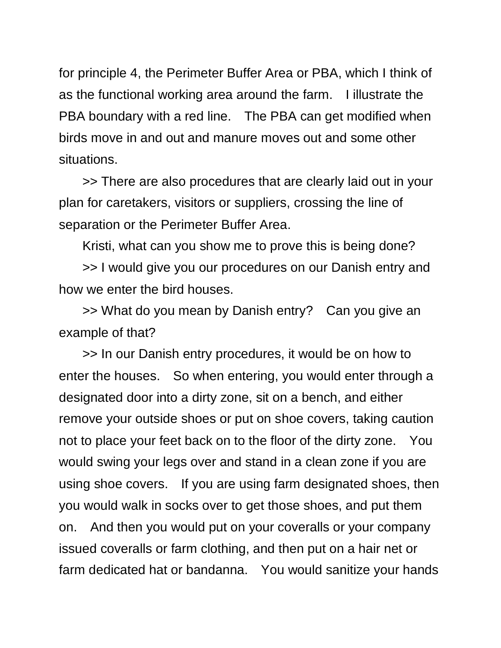for principle 4, the Perimeter Buffer Area or PBA, which I think of as the functional working area around the farm. I illustrate the PBA boundary with a red line. The PBA can get modified when birds move in and out and manure moves out and some other situations.

>> There are also procedures that are clearly laid out in your plan for caretakers, visitors or suppliers, crossing the line of separation or the Perimeter Buffer Area.

Kristi, what can you show me to prove this is being done?

>> I would give you our procedures on our Danish entry and how we enter the bird houses.

>> What do you mean by Danish entry? Can you give an example of that?

>> In our Danish entry procedures, it would be on how to enter the houses. So when entering, you would enter through a designated door into a dirty zone, sit on a bench, and either remove your outside shoes or put on shoe covers, taking caution not to place your feet back on to the floor of the dirty zone. You would swing your legs over and stand in a clean zone if you are using shoe covers. If you are using farm designated shoes, then you would walk in socks over to get those shoes, and put them on. And then you would put on your coveralls or your company issued coveralls or farm clothing, and then put on a hair net or farm dedicated hat or bandanna. You would sanitize your hands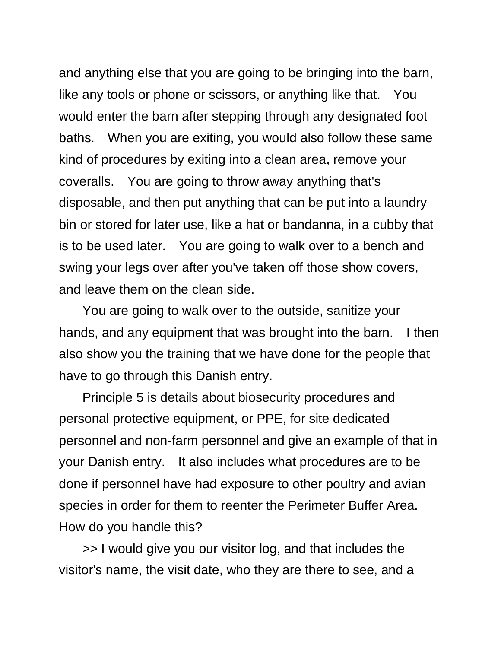and anything else that you are going to be bringing into the barn, like any tools or phone or scissors, or anything like that. You would enter the barn after stepping through any designated foot baths. When you are exiting, you would also follow these same kind of procedures by exiting into a clean area, remove your coveralls. You are going to throw away anything that's disposable, and then put anything that can be put into a laundry bin or stored for later use, like a hat or bandanna, in a cubby that is to be used later. You are going to walk over to a bench and swing your legs over after you've taken off those show covers, and leave them on the clean side.

You are going to walk over to the outside, sanitize your hands, and any equipment that was brought into the barn. I then also show you the training that we have done for the people that have to go through this Danish entry.

Principle 5 is details about biosecurity procedures and personal protective equipment, or PPE, for site dedicated personnel and non-farm personnel and give an example of that in your Danish entry. It also includes what procedures are to be done if personnel have had exposure to other poultry and avian species in order for them to reenter the Perimeter Buffer Area. How do you handle this?

>> I would give you our visitor log, and that includes the visitor's name, the visit date, who they are there to see, and a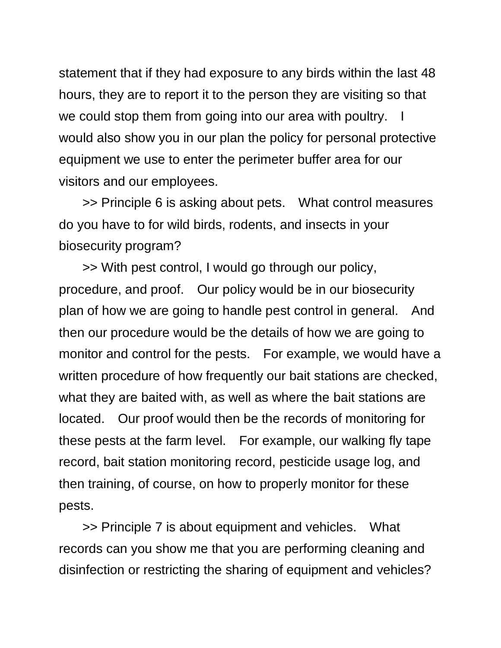statement that if they had exposure to any birds within the last 48 hours, they are to report it to the person they are visiting so that we could stop them from going into our area with poultry. would also show you in our plan the policy for personal protective equipment we use to enter the perimeter buffer area for our visitors and our employees.

>> Principle 6 is asking about pets. What control measures do you have to for wild birds, rodents, and insects in your biosecurity program?

>> With pest control, I would go through our policy, procedure, and proof. Our policy would be in our biosecurity plan of how we are going to handle pest control in general. And then our procedure would be the details of how we are going to monitor and control for the pests. For example, we would have a written procedure of how frequently our bait stations are checked, what they are baited with, as well as where the bait stations are located. Our proof would then be the records of monitoring for these pests at the farm level. For example, our walking fly tape record, bait station monitoring record, pesticide usage log, and then training, of course, on how to properly monitor for these pests.

>> Principle 7 is about equipment and vehicles. What records can you show me that you are performing cleaning and disinfection or restricting the sharing of equipment and vehicles?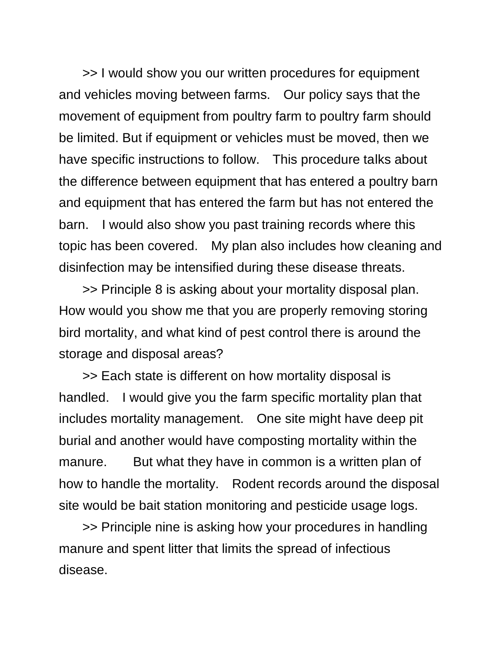>> I would show you our written procedures for equipment and vehicles moving between farms. Our policy says that the movement of equipment from poultry farm to poultry farm should be limited. But if equipment or vehicles must be moved, then we have specific instructions to follow. This procedure talks about the difference between equipment that has entered a poultry barn and equipment that has entered the farm but has not entered the barn. I would also show you past training records where this topic has been covered. My plan also includes how cleaning and disinfection may be intensified during these disease threats.

>> Principle 8 is asking about your mortality disposal plan. How would you show me that you are properly removing storing bird mortality, and what kind of pest control there is around the storage and disposal areas?

>> Each state is different on how mortality disposal is handled. I would give you the farm specific mortality plan that includes mortality management. One site might have deep pit burial and another would have composting mortality within the manure. But what they have in common is a written plan of how to handle the mortality. Rodent records around the disposal site would be bait station monitoring and pesticide usage logs.

>> Principle nine is asking how your procedures in handling manure and spent litter that limits the spread of infectious disease.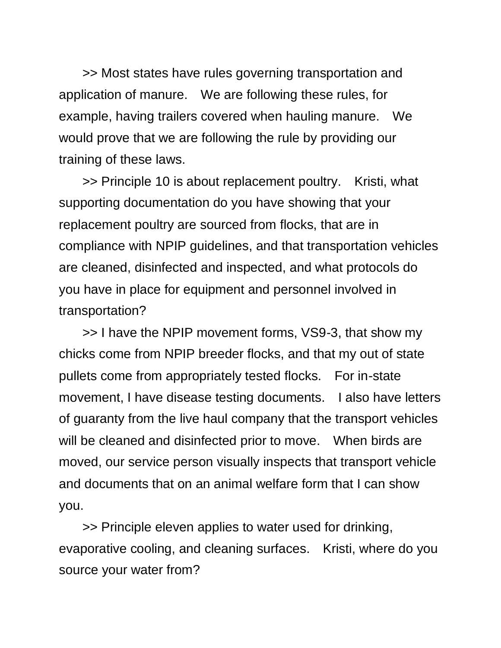>> Most states have rules governing transportation and application of manure. We are following these rules, for example, having trailers covered when hauling manure. We would prove that we are following the rule by providing our training of these laws.

>> Principle 10 is about replacement poultry. Kristi, what supporting documentation do you have showing that your replacement poultry are sourced from flocks, that are in compliance with NPIP guidelines, and that transportation vehicles are cleaned, disinfected and inspected, and what protocols do you have in place for equipment and personnel involved in transportation?

>> I have the NPIP movement forms, VS9-3, that show my chicks come from NPIP breeder flocks, and that my out of state pullets come from appropriately tested flocks. For in-state movement, I have disease testing documents. I also have letters of guaranty from the live haul company that the transport vehicles will be cleaned and disinfected prior to move. When birds are moved, our service person visually inspects that transport vehicle and documents that on an animal welfare form that I can show you.

>> Principle eleven applies to water used for drinking, evaporative cooling, and cleaning surfaces. Kristi, where do you source your water from?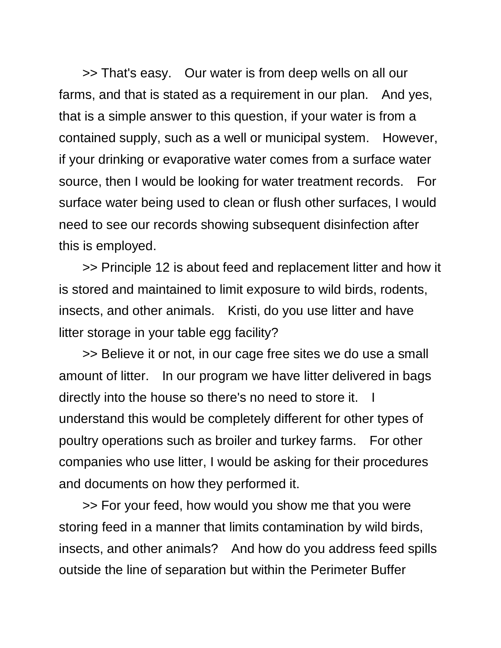>> That's easy. Our water is from deep wells on all our farms, and that is stated as a requirement in our plan. And yes, that is a simple answer to this question, if your water is from a contained supply, such as a well or municipal system. However, if your drinking or evaporative water comes from a surface water source, then I would be looking for water treatment records. For surface water being used to clean or flush other surfaces, I would need to see our records showing subsequent disinfection after this is employed.

>> Principle 12 is about feed and replacement litter and how it is stored and maintained to limit exposure to wild birds, rodents, insects, and other animals. Kristi, do you use litter and have litter storage in your table egg facility?

>> Believe it or not, in our cage free sites we do use a small amount of litter. In our program we have litter delivered in bags directly into the house so there's no need to store it. I understand this would be completely different for other types of poultry operations such as broiler and turkey farms. For other companies who use litter, I would be asking for their procedures and documents on how they performed it.

>> For your feed, how would you show me that you were storing feed in a manner that limits contamination by wild birds, insects, and other animals? And how do you address feed spills outside the line of separation but within the Perimeter Buffer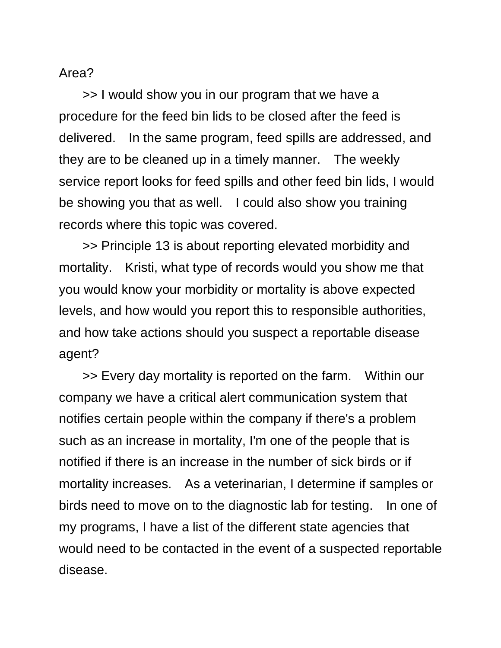## Area?

>> I would show you in our program that we have a procedure for the feed bin lids to be closed after the feed is delivered. In the same program, feed spills are addressed, and they are to be cleaned up in a timely manner. The weekly service report looks for feed spills and other feed bin lids, I would be showing you that as well. I could also show you training records where this topic was covered.

>> Principle 13 is about reporting elevated morbidity and mortality. Kristi, what type of records would you show me that you would know your morbidity or mortality is above expected levels, and how would you report this to responsible authorities, and how take actions should you suspect a reportable disease agent?

>> Every day mortality is reported on the farm. Within our company we have a critical alert communication system that notifies certain people within the company if there's a problem such as an increase in mortality, I'm one of the people that is notified if there is an increase in the number of sick birds or if mortality increases. As a veterinarian, I determine if samples or birds need to move on to the diagnostic lab for testing. In one of my programs, I have a list of the different state agencies that would need to be contacted in the event of a suspected reportable disease.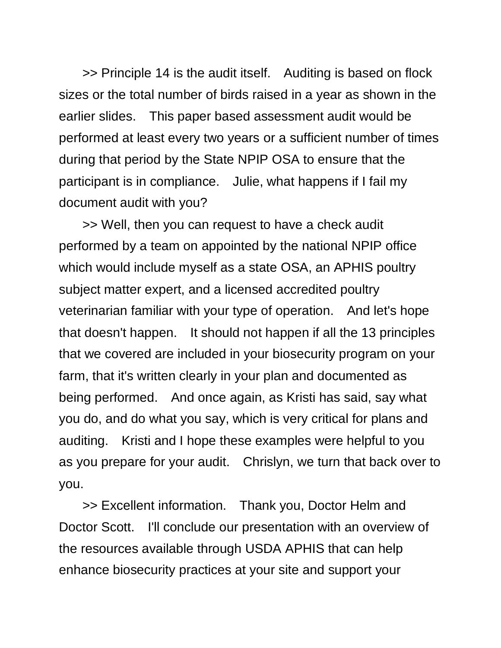>> Principle 14 is the audit itself. Auditing is based on flock sizes or the total number of birds raised in a year as shown in the earlier slides. This paper based assessment audit would be performed at least every two years or a sufficient number of times during that period by the State NPIP OSA to ensure that the participant is in compliance. Julie, what happens if I fail my document audit with you?

>> Well, then you can request to have a check audit performed by a team on appointed by the national NPIP office which would include myself as a state OSA, an APHIS poultry subject matter expert, and a licensed accredited poultry veterinarian familiar with your type of operation. And let's hope that doesn't happen. It should not happen if all the 13 principles that we covered are included in your biosecurity program on your farm, that it's written clearly in your plan and documented as being performed. And once again, as Kristi has said, say what you do, and do what you say, which is very critical for plans and auditing. Kristi and I hope these examples were helpful to you as you prepare for your audit. Chrislyn, we turn that back over to you.

>> Excellent information. Thank you, Doctor Helm and Doctor Scott. I'll conclude our presentation with an overview of the resources available through USDA APHIS that can help enhance biosecurity practices at your site and support your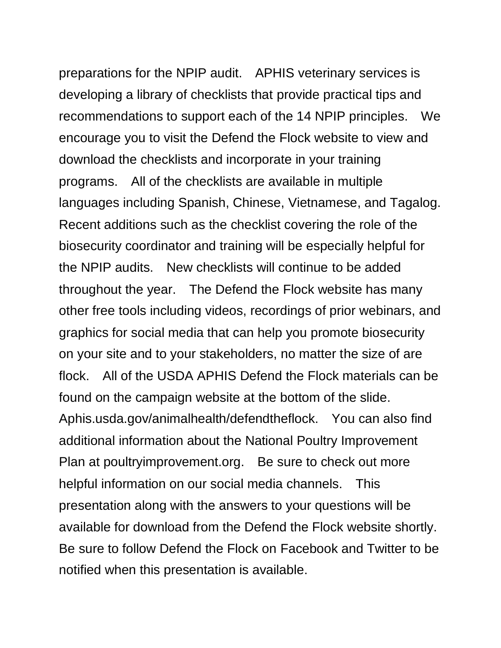preparations for the NPIP audit. APHIS veterinary services is developing a library of checklists that provide practical tips and recommendations to support each of the 14 NPIP principles. We encourage you to visit the Defend the Flock website to view and download the checklists and incorporate in your training programs. All of the checklists are available in multiple languages including Spanish, Chinese, Vietnamese, and Tagalog. Recent additions such as the checklist covering the role of the biosecurity coordinator and training will be especially helpful for the NPIP audits. New checklists will continue to be added throughout the year. The Defend the Flock website has many other free tools including videos, recordings of prior webinars, and graphics for social media that can help you promote biosecurity on your site and to your stakeholders, no matter the size of are flock. All of the USDA APHIS Defend the Flock materials can be found on the campaign website at the bottom of the slide. Aphis.usda.gov/animalhealth/defendtheflock. You can also find additional information about the National Poultry Improvement Plan at poultryimprovement.org. Be sure to check out more helpful information on our social media channels. This presentation along with the answers to your questions will be available for download from the Defend the Flock website shortly. Be sure to follow Defend the Flock on Facebook and Twitter to be notified when this presentation is available.